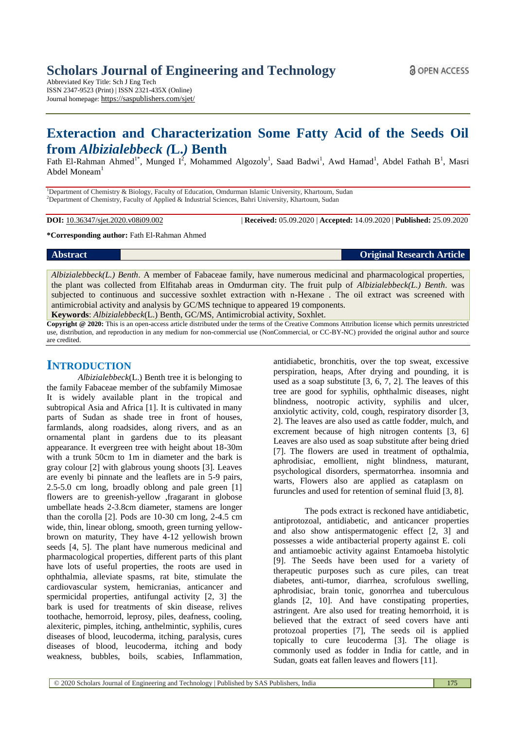Abbreviated Key Title: Sch J Eng Tech ISSN 2347-9523 (Print) | ISSN 2321-435X (Online) Journal homepage: https://saspublishers.com/sjet/

# **Exteraction and Characterization Some Fatty Acid of the Seeds Oil from** *Albizialebbeck (***L.***)* **Benth**

Fath El-Rahman Ahmed<sup>1\*</sup>, Munged I<sup>2</sup>, Mohammed Algozoly<sup>1</sup>, Saad Badwi<sup>1</sup>, Awd Hamad<sup>1</sup>, Abdel Fathah B<sup>1</sup>, Masri Abdel Moneam<sup>1</sup>

<sup>1</sup>Department of Chemistry & Biology, Faculty of Education, Omdurman Islamic University, Khartoum, Sudan <sup>2</sup>Department of Chemistry, Faculty of Applied & Industrial Sciences, Bahri University, Khartoum, Sudan

**DOI:** 10.36347/sjet.2020.v08i09.002 | **Received:** 05.09.2020 | **Accepted:** 14.09.2020 | **Published:** 25.09.2020

**\*Corresponding author:** Fath El-Rahman Ahmed

| <b>Abstract</b> | <b>Original Research Article</b> |
|-----------------|----------------------------------|
|-----------------|----------------------------------|

*Albizialebbeck(L.) Benth*. A member of Fabaceae family, have numerous medicinal and pharmacological properties, the plant was collected from Elfitahab areas in Omdurman city. The fruit pulp of *Albizialebbeck(L.) Benth*. was subjected to continuous and successive soxhlet extraction with n-Hexane . The oil extract was screened with antimicrobial activity and analysis by GC/MS technique to appeared 19 components. **Keywords**: *Albizialebbeck*(L.) Benth, GC/MS, Antimicrobial activity, Soxhlet.

**Copyright @ 2020:** This is an open-access article distributed under the terms of the Creative Commons Attribution license which permits unrestricted use, distribution, and reproduction in any medium for non-commercial use (NonCommercial, or CC-BY-NC) provided the original author and source are credited.

# **INTRODUCTION**

*Albizialebbeck*(L.) Benth tree it is belonging to the family Fabaceae member of the subfamily Mimosae It is widely available plant in the tropical and subtropical Asia and Africa [1]. It is cultivated in many parts of Sudan as shade tree in front of houses, farmlands, along roadsides, along rivers, and as an ornamental plant in gardens due to its pleasant appearance. It evergreen tree with height about 18-30m with a trunk 50cm to 1m in diameter and the bark is gray colour [2] with glabrous young shoots [3]. Leaves are evenly bi pinnate and the leaflets are in 5-9 pairs, 2.5-5.0 cm long, broadly oblong and pale green [1] flowers are to greenish-yellow ,fragarant in globose umbellate heads 2-3.8cm diameter, stamens are longer than the corolla [2]. Pods are 10-30 cm long, 2-4.5 cm wide, thin, linear oblong, smooth, green turning yellowbrown on maturity, They have 4-12 yellowish brown seeds [4, 5]. The plant have numerous medicinal and pharmacological properties, different parts of this plant have lots of useful properties, the roots are used in ophthalmia, alleviate spasms, rat bite, stimulate the cardiovascular system, hemicranias, anticancer and spermicidal properties, antifungal activity [2, 3] the bark is used for treatments of skin disease, relives toothache, hemorroid, leprosy, piles, deafness, cooling, alexiteric, pimples, itching, anthelmintic, syphilis, cures diseases of blood, leucoderma, itching, paralysis, cures diseases of blood, leucoderma, itching and body weakness, bubbles, boils, scabies, Inflammation,

antidiabetic, bronchitis, over the top sweat, excessive perspiration, heaps, After drying and pounding, it is used as a soap substitute [3, 6, 7, 2]. The leaves of this tree are good for syphilis, ophthalmic diseases, night blindness, nootropic activity, syphilis and ulcer, anxiolytic activity, cold, cough, respiratory disorder [3, 2]. The leaves are also used as cattle fodder, mulch, and excrement because of high nitrogen contents [3, 6] Leaves are also used as soap substitute after being dried [7]. The flowers are used in treatment of opthalmia, aphrodisiac, emollient, night blindness, maturant, psychological disorders, spermatorrhea. insomnia and warts, Flowers also are applied as cataplasm on furuncles and used for retention of seminal fluid [3, 8].

The pods extract is reckoned have antidiabetic, antiprotozoal, antidiabetic, and anticancer properties and also show antispermatogenic effect [2, 3] and possesses a wide antibacterial property against E. coli and antiamoebic activity against Entamoeba histolytic [9]. The Seeds have been used for a variety of therapeutic purposes such as cure piles, can treat diabetes, anti-tumor, diarrhea, scrofulous swelling, aphrodisiac, brain tonic, gonorrhea and tuberculous glands [2, 10]. And have constipating properties, astringent. Are also used for treating hemorrhoid, it is believed that the extract of seed covers have anti protozoal properties [7], The seeds oil is applied topically to cure leucoderma [3]. The oliage is commonly used as fodder in India for cattle, and in Sudan, goats eat fallen leaves and flowers [11].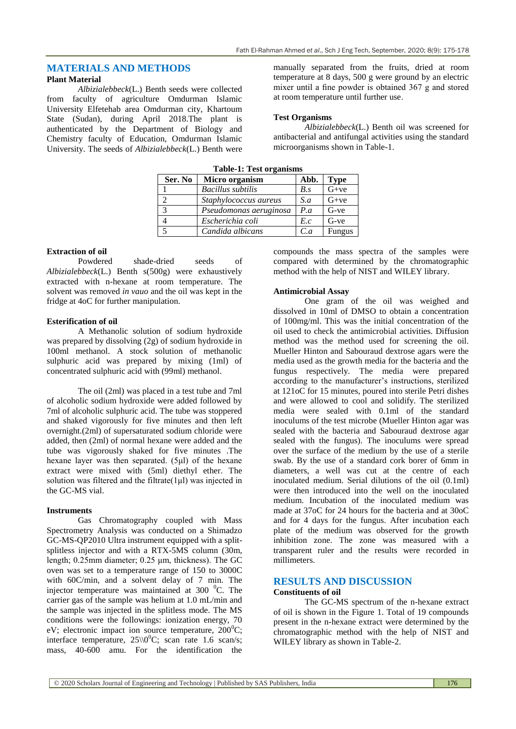# **MATERIALS AND METHODS**

# **Plant Material**

*Albizialebbeck*(L.) Benth seeds were collected from faculty of agriculture Omdurman Islamic University Elfetehab area Omdurman city, Khartoum State (Sudan), during April 2018.The plant is authenticated by the Department of Biology and Chemistry faculty of Education, Omdurman Islamic University. The seeds of *Albizialebbeck*(L.) Benth were

manually separated from the fruits, dried at room temperature at 8 days, 500 g were ground by an electric mixer until a fine powder is obtained 367 g and stored at room temperature until further use.

### **Test Organisms**

*Albizialebbeck*(L.) Benth oil was screened for antibacterial and antifungal activities using the standard microorganisms shown in Table-1.

| таріс-т; тем огданімня |                          |               |             |  |  |
|------------------------|--------------------------|---------------|-------------|--|--|
| Ser. No                | Micro organism           | Abb.          | <b>Type</b> |  |  |
|                        | <b>Bacillus subtilis</b> | $B_{\cdot}$ s | $G+ve$      |  |  |
|                        | Staphylococcus aureus    | S.a           | $G+ve$      |  |  |
| $\mathcal{R}$          | Pseudomonas aeruginosa   | P.a           | $G$ -ve     |  |  |
|                        | Escherichia coli         | E.c           | $G$ -ve     |  |  |
|                        | Candida albicans         | C.a           | Fungus      |  |  |
|                        |                          |               |             |  |  |

**Table-1: Test organisms**

### **Extraction of oil**

Powdered shade-dried seeds of *Albizialebbeck*(L.) Benth s(500g) were exhaustively extracted with n-hexane at room temperature. The solvent was removed *in vauo* and the oil was kept in the fridge at 4oC for further manipulation.

## **Esterification of oil**

A Methanolic solution of sodium hydroxide was prepared by dissolving (2g) of sodium hydroxide in 100ml methanol. A stock solution of methanolic sulphuric acid was prepared by mixing (1ml) of concentrated sulphuric acid with (99ml) methanol.

The oil (2ml) was placed in a test tube and 7ml of alcoholic sodium hydroxide were added followed by 7ml of alcoholic sulphuric acid. The tube was stoppered and shaked vigorously for five minutes and then left overnight.(2ml) of supersaturated sodium chloride were added, then (2ml) of normal hexane were added and the tube was vigorously shaked for five minutes .The hexane layer was then separated. (5μl) of the hexane extract were mixed with (5ml) diethyl ether. The solution was filtered and the filtrate(1μl) was injected in the GC-MS vial.

# **Instruments**

Gas Chromatography coupled with Mass Spectrometry Analysis was conducted on a Shimadzo GC-MS-QP2010 Ultra instrument equipped with a splitsplitless injector and with a RTX-5MS column (30m, length; 0.25mm diameter; 0.25 μm, thickness). The GC oven was set to a temperature range of 150 to 3000C with 60C/min, and a solvent delay of 7 min. The injector temperature was maintained at 300 °C. The carrier gas of the sample was helium at 1.0 mL/min and the sample was injected in the splitless mode. The MS conditions were the followings: ionization energy, 70 eV; electronic impact ion source temperature,  $200^{\circ}$ C; interface temperature,  $25\sqrt{0}^0C$ ; scan rate 1.6 scan/s; mass, 40-600 amu. For the identification the

compounds the mass spectra of the samples were compared with determined by the chromatographic method with the help of NIST and WILEY library.

#### **Antimicrobial Assay**

One gram of the oil was weighed and dissolved in 10ml of DMSO to obtain a concentration of 100mg/ml. This was the initial concentration of the oil used to check the antimicrobial activities. Diffusion method was the method used for screening the oil. Mueller Hinton and Sabouraud dextrose agars were the media used as the growth media for the bacteria and the fungus respectively. The media were prepared according to the manufacturer's instructions, sterilized at 121oC for 15 minutes, poured into sterile Petri dishes and were allowed to cool and solidify. The sterilized media were sealed with 0.1ml of the standard inoculums of the test microbe (Mueller Hinton agar was sealed with the bacteria and Sabouraud dextrose agar sealed with the fungus). The inoculums were spread over the surface of the medium by the use of a sterile swab. By the use of a standard cork borer of 6mm in diameters, a well was cut at the centre of each inoculated medium. Serial dilutions of the oil (0.1ml) were then introduced into the well on the inoculated medium. Incubation of the inoculated medium was made at 37oC for 24 hours for the bacteria and at 30oC and for 4 days for the fungus. After incubation each plate of the medium was observed for the growth inhibition zone. The zone was measured with a transparent ruler and the results were recorded in millimeters.

# **RESULTS AND DISCUSSION**

#### **Constituents of oil**

The GC-MS spectrum of the n-hexane extract of oil is shown in the Figure 1. Total of 19 compounds present in the n-hexane extract were determined by the chromatographic method with the help of NIST and WILEY library as shown in Table-2.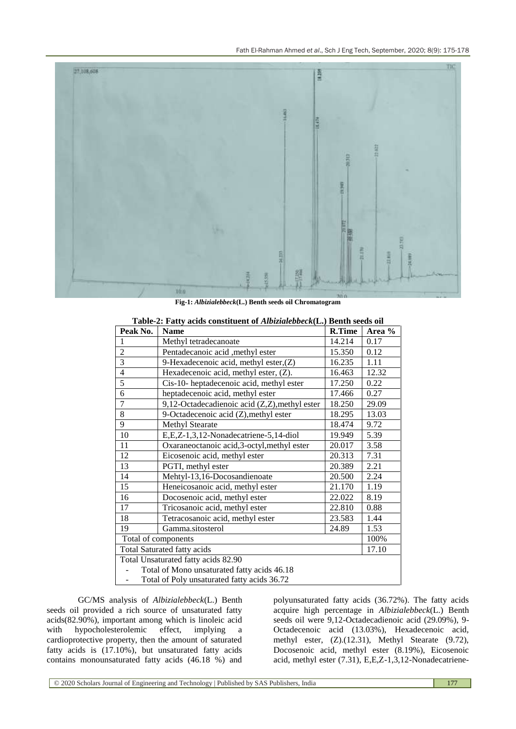

**Fig-1:** *Albizialebbeck***(L.) Benth seeds oil Chromatogram**

| Table-2: Fatty acids constituent of <i>Albizialebbeck</i> (L.) Benth seeds oil |                                               |               |        |  |
|--------------------------------------------------------------------------------|-----------------------------------------------|---------------|--------|--|
| Peak No.                                                                       | <b>Name</b>                                   | <b>R.Time</b> | Area % |  |
| 1                                                                              | Methyl tetradecanoate                         | 14.214        | 0.17   |  |
| $\overline{2}$                                                                 | Pentadecanoic acid ,methyl ester              | 15.350        | 0.12   |  |
| $\overline{3}$                                                                 | 9-Hexadecenoic acid, methyl ester, (Z)        | 16.235        | 1.11   |  |
| $\overline{4}$                                                                 | Hexadecenoic acid, methyl ester, (Z).         | 16.463        | 12.32  |  |
| $\overline{5}$                                                                 | Cis-10- heptadecenoic acid, methyl ester      | 17.250        | 0.22   |  |
| 6                                                                              | heptadecenoic acid, methyl ester              | 17.466        | 0.27   |  |
| 7                                                                              | 9,12-Octadecadienoic acid (Z,Z), methyl ester | 18.250        | 29.09  |  |
| 8                                                                              | 9-Octadecenoic acid (Z), methyl ester         | 18.295        | 13.03  |  |
| $\overline{9}$                                                                 | <b>Methyl Stearate</b>                        | 18.474        | 9.72   |  |
| 10                                                                             | E,E,Z-1,3,12-Nonadecatriene-5,14-diol         | 19.949        | 5.39   |  |
| 11                                                                             | Oxaraneoctanoic acid,3-octyl, methyl ester    | 20.017        | 3.58   |  |
| 12                                                                             | Eicosenoic acid, methyl ester                 | 20.313        | 7.31   |  |
| 13                                                                             | PGTI, methyl ester                            | 20.389        | 2.21   |  |
| 14                                                                             | Mehtyl-13,16-Docosandienoate                  | 20.500        | 2.24   |  |
| 15                                                                             | Heneicosanoic acid, methyl ester              | 21.170        | 1.19   |  |
| 16                                                                             | Docosenoic acid, methyl ester                 | 22.022        | 8.19   |  |
| 17                                                                             | Tricosanoic acid, methyl ester                | 22.810        | 0.88   |  |
| 18                                                                             | Tetracosanoic acid, methyl ester              | 23.583        | 1.44   |  |
| 19                                                                             | Gamma.sitosterol                              | 24.89         | 1.53   |  |
| Total of components                                                            |                                               |               | 100%   |  |
| <b>Total Saturated fatty acids</b>                                             |                                               |               | 17.10  |  |
| Total Unsaturated fatty acids 82.90                                            |                                               |               |        |  |
| Total of Mono unsaturated fatty acids 46.18                                    |                                               |               |        |  |
| Total of Poly unsaturated fatty acids 36.72                                    |                                               |               |        |  |

# GC/MS analysis of *Albizialebbeck*(L.) Benth seeds oil provided a rich source of unsaturated fatty acids(82.90%), important among which is linoleic acid with hypocholesterolemic effect, implying a cardioprotective property, then the amount of saturated fatty acids is (17.10%), but unsaturated fatty acids contains monounsaturated fatty acids (46.18 %) and

polyunsaturated fatty acids (36.72%). The fatty acids acquire high percentage in *Albizialebbeck*(L.) Benth seeds oil were 9,12-Octadecadienoic acid (29.09%), 9- Octadecenoic acid (13.03%), Hexadecenoic acid, methyl ester, (Z).(12.31), Methyl Stearate (9.72), Docosenoic acid, methyl ester (8.19%), Eicosenoic acid, methyl ester (7.31), E,E,Z-1,3,12-Nonadecatriene